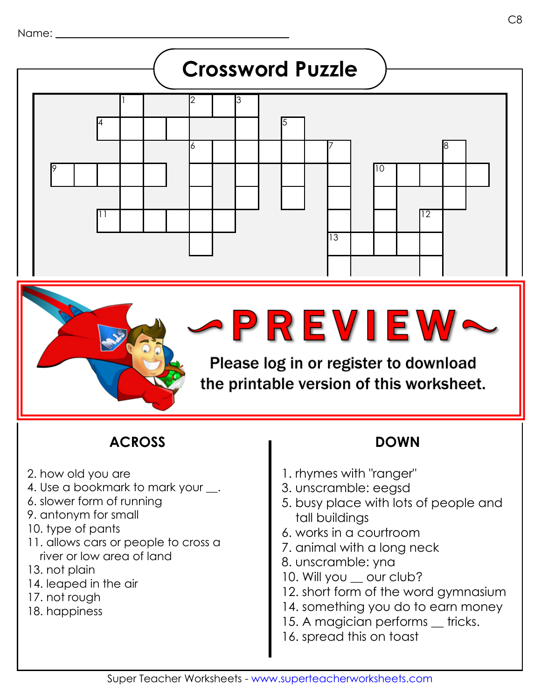

17

## **ACROSS DOWN**

- 2. how old you are
- 4. Use a bookmark to mark your .
- 6. slower form of running
- 9. antonym for small
- 10. type of pants
- 11. allows cars or people to cross a river or low area of land
- 13. not plain
- 14. leaped in the air
- 17. not rough
- 18. happiness

16

1. rhymes with "ranger"

Please log in or register to download

the printable version of this worksheet.

- 3. unscramble: eegsd
- 5. busy place with lots of people and tall buildings
- 6. works in a courtroom
- 7. animal with a long neck
- 8. unscramble: yna
- 10. Will you \_\_ our club?
- 12. short form of the word gymnasium
- 14. something you do to earn money
- 15. A magician performs \_ tricks.
- 16. spread this on toast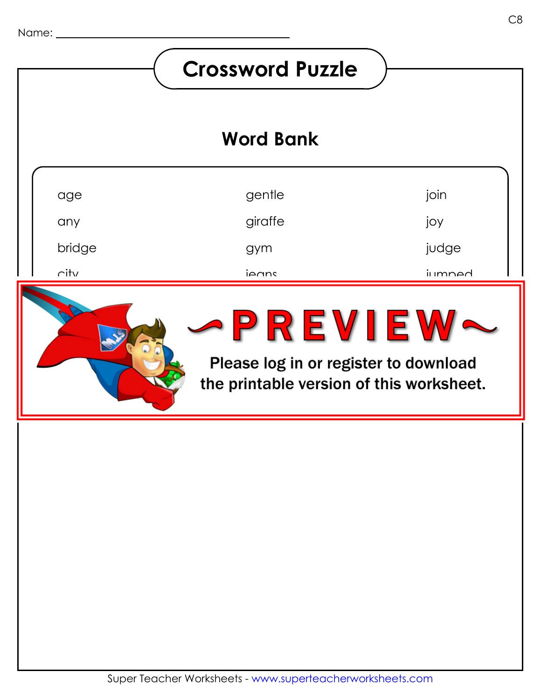# **Crossword Puzzle Word Bank**gentle join age giraffe joy any bridge judge gym city jumped ieans danger edges  $\blacksquare$ mewie wy fancy pagkage pagetakan kajalan pageta the printable version of this worksheet.